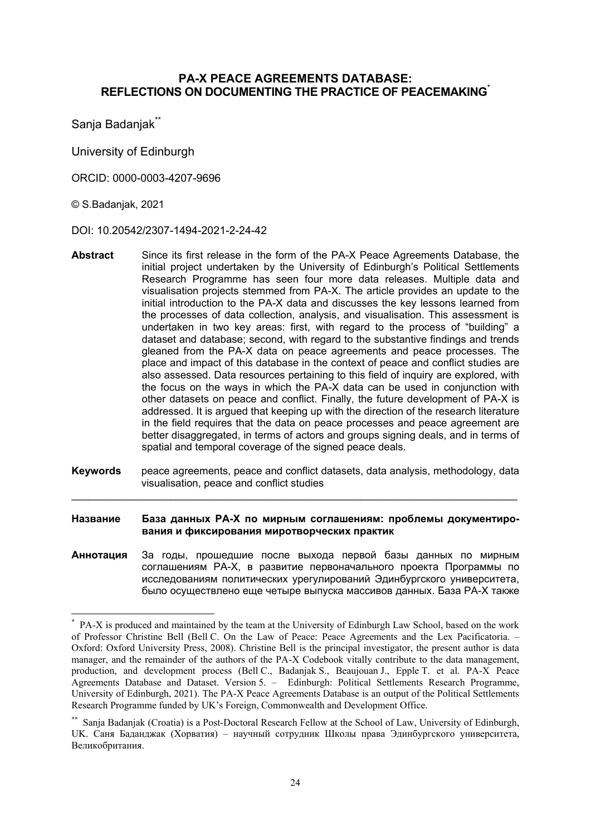### **PA-X PEACE AGREEMENTS DATABASE: REFLECTIONS ON DOCUMENTING THE PRACTICE OF PEACEMAKING**\*

Sanja Badanjak<sup>\*\*</sup>

University of Edinburgh

ORCID: 0000-0003-4207-9696

#### © S.Badanjak, 2021

1

DOI: 10.20542/2307-1494-2021-2-24-42

- **Abstract** Since its first release in the form of the PA-X Peace Agreements Database, the initial project undertaken by the University of Edinburgh's Political Settlements Research Programme has seen four more data releases. Multiple data and visualisation projects stemmed from PA-X. The article provides an update to the initial introduction to the PA-X data and discusses the key lessons learned from the processes of data collection, analysis, and visualisation. This assessment is undertaken in two key areas: first, with regard to the process of "building" a dataset and database; second, with regard to the substantive findings and trends gleaned from the PA-X data on peace agreements and peace processes. The place and impact of this database in the context of peace and conflict studies are also assessed. Data resources pertaining to this field of inquiry are explored, with the focus on the ways in which the PA-X data can be used in conjunction with other datasets on peace and conflict. Finally, the future development of PA-X is addressed. It is argued that keeping up with the direction of the research literature in the field requires that the data on peace processes and peace agreement are better disaggregated, in terms of actors and groups signing deals, and in terms of spatial and temporal coverage of the signed peace deals.
- **Keywords** peace agreements, peace and conflict datasets, data analysis, methodology, data visualisation, peace and conflict studies \_\_\_\_\_\_\_\_\_\_\_\_\_\_\_\_\_\_\_\_\_\_\_\_\_\_\_\_\_\_\_\_\_\_\_\_\_\_\_\_\_\_\_\_\_\_\_\_\_\_\_\_\_\_\_\_\_\_\_\_\_\_\_\_\_\_\_\_\_\_\_\_\_\_\_\_\_

**Название База данных PA-X по мирным соглашениям: проблемы документирования и фиксирования миротворческих практик**

**Аннотация** За годы, прошедшие после выхода первой базы данных по мирным соглашениям PA-X, в развитие первоначального проекта Программы по исследованиям политических урегулирований Эдинбургского университета, было осуществлено еще четыре выпуска массивов данных. База PA-X также

<sup>\*</sup> PA-X is produced and maintained by the team at the University of Edinburgh Law School, based on the work of Professor Christine Bell (Bell C. On the Law of Peace: Peace Agreements and the Lex Pacificatoria. – Oxford: Oxford University Press, 2008). Christine Bell is the principal investigator, the present author is data manager, and the remainder of the authors of the PA-X Codebook vitally contribute to the data management, production, and development process (Bell C., Badanjak S., Beaujouan J., Epple T. et al. PA-X Peace Agreements Database and Dataset. Version 5. – Edinburgh: Political Settlements Research Programme, University of Edinburgh, 2021). The PA-X Peace Agreements Database is an output of the Political Settlements Research Programme funded by UK's Foreign, Commonwealth and Development Office.

<sup>\*\*</sup> Sanja Badanjak (Croatia) is a Post-Doctoral Research Fellow at the School of Law, University of Edinburgh, UK. Cаня Баданджак (Хорватия) – научный сотрудник Школы права Эдинбургского университета, Великобритания.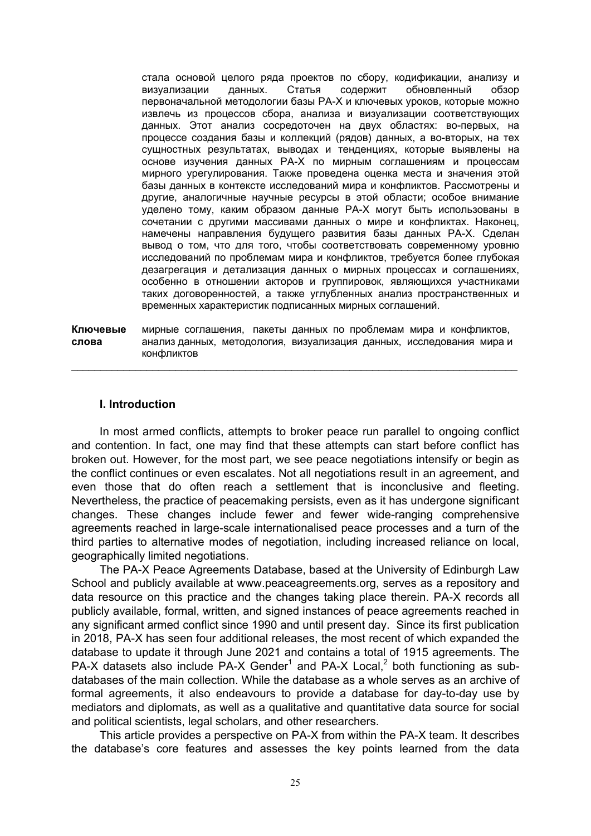стала основой целого ряда проектов по сбору, кодификации, анализу и визуализации данных. Статья содержит обновленный обзор первоначальной методологии базы PA-X и ключевых уроков, которые можно извлечь из процессов сбора, анализа и визуализации соответствующих данных. Этот анализ сосредоточен на двух областях: во-первых, на процессе создания базы и коллекций (рядов) данных, а во-вторых, на тех сущностных результатах, выводах и тенденциях, которые выявлены на основе изучения данных PA-X по мирным соглашениям и процессам мирного урегулирования. Также проведена оценка места и значения этой базы данных в контексте исследований мира и конфликтов. Рассмотрены и другие, аналогичные научные ресурсы в этой области; особое внимание уделено тому, каким образом данные PA-X могут быть использованы в сочетании с другими массивами данных о мире и конфликтах. Наконец, намечены направления будущего развития базы данных PA-X. Сделан вывод о том, что для того, чтобы соответствовать современному уровню исследований по проблемам мира и конфликтов, требуется более глубокая дезагрегация и детализация данных о мирных процессах и соглашениях, особенно в отношении акторов и группировок, являющихся участниками таких договоренностей, а также углубленных анализ пространственных и временных характеристик подписанных мирных соглашений.

**Ключевые** мирные соглашения, пакеты данных по проблемам мира и конфликтов, **слова** анализ данных, методология, визуализация данных, исследования мира и конфликтов

\_\_\_\_\_\_\_\_\_\_\_\_\_\_\_\_\_\_\_\_\_\_\_\_\_\_\_\_\_\_\_\_\_\_\_\_\_\_\_\_\_\_\_\_\_\_\_\_\_\_\_\_\_\_\_\_\_\_\_\_\_\_\_\_\_\_\_\_\_\_\_\_\_\_\_\_\_

### **I. Introduction**

In most armed conflicts, attempts to broker peace run parallel to ongoing conflict and contention. In fact, one may find that these attempts can start before conflict has broken out. However, for the most part, we see peace negotiations intensify or begin as the conflict continues or even escalates. Not all negotiations result in an agreement, and even those that do often reach a settlement that is inconclusive and fleeting. Nevertheless, the practice of peacemaking persists, even as it has undergone significant changes. These changes include fewer and fewer wide-ranging comprehensive agreements reached in large-scale internationalised peace processes and a turn of the third parties to alternative modes of negotiation, including increased reliance on local, geographically limited negotiations.

The PA-X Peace Agreements Database, based at the University of Edinburgh Law School and publicly available at www.peaceagreements.org, serves as a repository and data resource on this practice and the changes taking place therein. PA-X records all publicly available, formal, written, and signed instances of peace agreements reached in any significant armed conflict since 1990 and until present day. Since its first publication in 2018, PA-X has seen four additional releases, the most recent of which expanded the database to update it through June 2021 and contains a total of 1915 agreements. The PA-X datasets also include PA-X Gender<sup>1</sup> and PA-X Local,<sup>2</sup> both functioning as subdatabases of the main collection. While the database as a whole serves as an archive of formal agreements, it also endeavours to provide a database for day-to-day use by mediators and diplomats, as well as a qualitative and quantitative data source for social and political scientists, legal scholars, and other researchers.

This article provides a perspective on PA-X from within the PA-X team. It describes the database's core features and assesses the key points learned from the data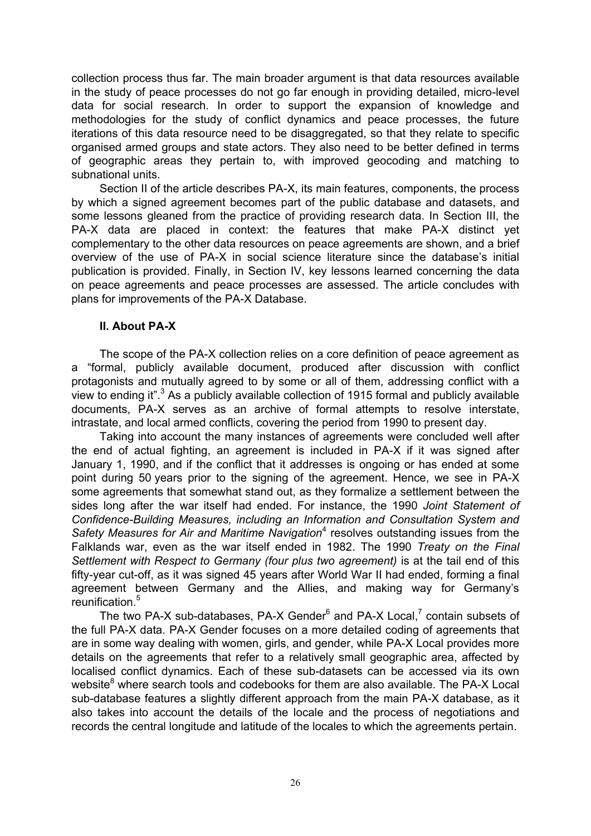collection process thus far. The main broader argument is that data resources available in the study of peace processes do not go far enough in providing detailed, micro-level data for social research. In order to support the expansion of knowledge and methodologies for the study of conflict dynamics and peace processes, the future iterations of this data resource need to be disaggregated, so that they relate to specific organised armed groups and state actors. They also need to be better defined in terms of geographic areas they pertain to, with improved geocoding and matching to subnational units.

Section II of the article describes PA-X, its main features, components, the process by which a signed agreement becomes part of the public database and datasets, and some lessons gleaned from the practice of providing research data. In Section III, the PA-X data are placed in context: the features that make PA-X distinct yet complementary to the other data resources on peace agreements are shown, and a brief overview of the use of PA-X in social science literature since the database's initial publication is provided. Finally, in Section IV, key lessons learned concerning the data on peace agreements and peace processes are assessed. The article concludes with plans for improvements of the PA-X Database.

### **II. About PA-X**

The scope of the PA-X collection relies on a core definition of peace agreement as a "formal, publicly available document, produced after discussion with conflict protagonists and mutually agreed to by some or all of them, addressing conflict with a view to ending it". <sup>3</sup> As a publicly available collection of 1915 formal and publicly available documents, PA-X serves as an archive of formal attempts to resolve interstate, intrastate, and local armed conflicts, covering the period from 1990 to present day.

Taking into account the many instances of agreements were concluded well after the end of actual fighting, an agreement is included in PA-X if it was signed after January 1, 1990, and if the conflict that it addresses is ongoing or has ended at some point during 50 years prior to the signing of the agreement. Hence, we see in PA-X some agreements that somewhat stand out, as they formalize a settlement between the sides long after the war itself had ended. For instance, the 1990 *Joint Statement of Confidence-Building Measures, including an Information and Consultation System and*  Safety Measures for Air and Maritime Navigation<sup>4</sup> resolves outstanding issues from the Falklands war, even as the war itself ended in 1982. The 1990 *Treaty on the Final Settlement with Respect to Germany (four plus two agreement)* is at the tail end of this fifty-year cut-off, as it was signed 45 years after World War II had ended, forming a final agreement between Germany and the Allies, and making way for Germany's reunification.<sup>5</sup>

The two PA-X sub-databases, PA-X Gender $^6$  and PA-X Local,<sup>7</sup> contain subsets of the full PA-X data. PA-X Gender focuses on a more detailed coding of agreements that are in some way dealing with women, girls, and gender, while PA-X Local provides more details on the agreements that refer to a relatively small geographic area, affected by localised conflict dynamics. Each of these sub-datasets can be accessed via its own website $^8$  where search tools and codebooks for them are also available. The PA-X Local sub-database features a slightly different approach from the main PA-X database, as it also takes into account the details of the locale and the process of negotiations and records the central longitude and latitude of the locales to which the agreements pertain.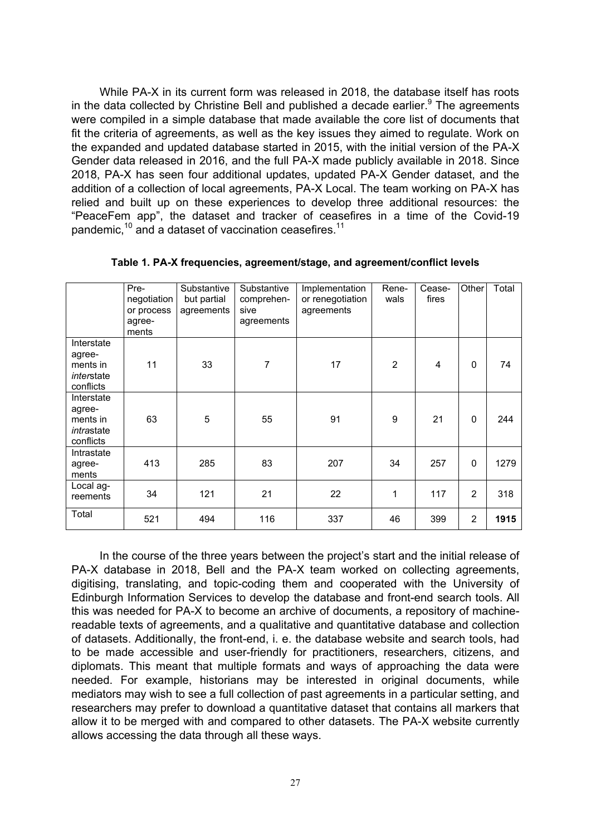While PA-X in its current form was released in 2018, the database itself has roots in the data collected by Christine Bell and published a decade earlier. $9$  The agreements were compiled in a simple database that made available the core list of documents that fit the criteria of agreements, as well as the key issues they aimed to regulate. Work on the expanded and updated database started in 2015, with the initial version of the PA-X Gender data released in 2016, and the full PA-X made publicly available in 2018. Since 2018, PA-X has seen four additional updates, updated PA-X Gender dataset, and the addition of a collection of local agreements, PA-X Local. The team working on PA-X has relied and built up on these experiences to develop three additional resources: the "PeaceFem app", the dataset and tracker of ceasefires in a time of the Covid-19 pandemic,<sup>10</sup> and a dataset of vaccination ceasefires.<sup>11</sup>

|                                                             | Pre-<br>negotiation<br>or process<br>agree-<br>ments | Substantive<br>but partial<br>agreements | Substantive<br>comprehen-<br>sive<br>agreements | Implementation<br>or renegotiation<br>agreements | Rene-<br>wals  | Cease-<br>fires | Other        | Total |
|-------------------------------------------------------------|------------------------------------------------------|------------------------------------------|-------------------------------------------------|--------------------------------------------------|----------------|-----------------|--------------|-------|
| Interstate<br>agree-<br>ments in<br>interstate<br>conflicts | 11                                                   | 33                                       | $\overline{7}$                                  | 17                                               | $\overline{2}$ | $\overline{4}$  | $\Omega$     | 74    |
| Interstate<br>agree-<br>ments in<br>intrastate<br>conflicts | 63                                                   | 5                                        | 55                                              | 91                                               | 9              | 21              | $\mathbf{0}$ | 244   |
| Intrastate<br>agree-<br>ments                               | 413                                                  | 285                                      | 83                                              | 207                                              | 34             | 257             | $\mathbf{0}$ | 1279  |
| Local ag-<br>reements                                       | 34                                                   | 121                                      | 21                                              | 22                                               | 1              | 117             | 2            | 318   |
| Total                                                       | 521                                                  | 494                                      | 116                                             | 337                                              | 46             | 399             | 2            | 1915  |

**Table 1. PA-X frequencies, agreement/stage, and agreement/conflict levels**

In the course of the three years between the project's start and the initial release of PA-X database in 2018, Bell and the PA-X team worked on collecting agreements, digitising, translating, and topic-coding them and cooperated with the University of Edinburgh Information Services to develop the database and front-end search tools. All this was needed for PA-X to become an archive of documents, a repository of machinereadable texts of agreements, and a qualitative and quantitative database and collection of datasets. Additionally, the front-end, i. e. the database website and search tools, had to be made accessible and user-friendly for practitioners, researchers, citizens, and diplomats. This meant that multiple formats and ways of approaching the data were needed. For example, historians may be interested in original documents, while mediators may wish to see a full collection of past agreements in a particular setting, and researchers may prefer to download a quantitative dataset that contains all markers that allow it to be merged with and compared to other datasets. The PA-X website currently allows accessing the data through all these ways.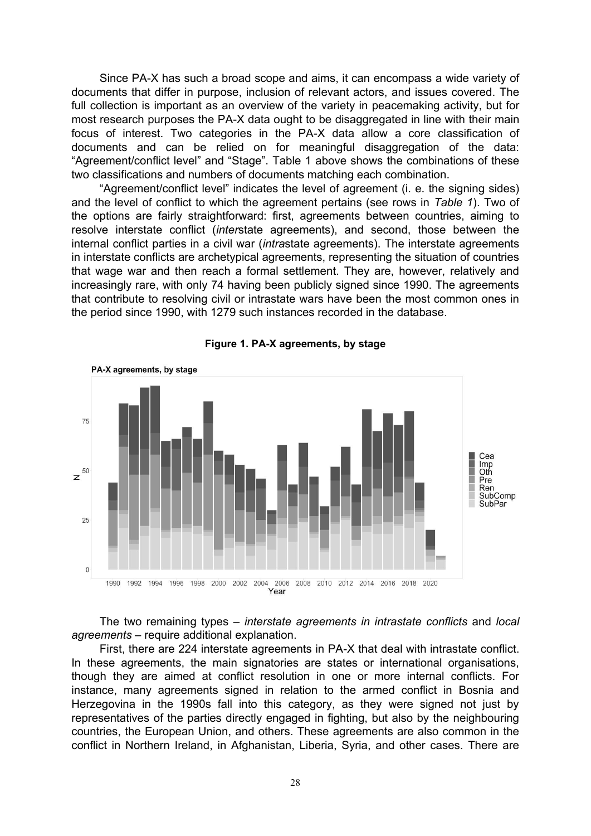Since PA-X has such a broad scope and aims, it can encompass a wide variety of documents that differ in purpose, inclusion of relevant actors, and issues covered. The full collection is important as an overview of the variety in peacemaking activity, but for most research purposes the PA-X data ought to be disaggregated in line with their main focus of interest. Two categories in the PA-X data allow a core classification of documents and can be relied on for meaningful disaggregation of the data: "Agreement/conflict level" and "Stage". Table 1 above shows the combinations of these two classifications and numbers of documents matching each combination.

"Agreement/conflict level" indicates the level of agreement (i. e. the signing sides) and the level of conflict to which the agreement pertains (see rows in *Table 1*). Two of the options are fairly straightforward: first, agreements between countries, aiming to resolve interstate conflict (*inter*state agreements), and second, those between the internal conflict parties in a civil war (*intra*state agreements). The interstate agreements in interstate conflicts are archetypical agreements, representing the situation of countries that wage war and then reach a formal settlement. They are, however, relatively and increasingly rare, with only 74 having been publicly signed since 1990. The agreements that contribute to resolving civil or intrastate wars have been the most common ones in the period since 1990, with 1279 such instances recorded in the database.



#### **Figure 1. PA-X agreements, by stage**

The two remaining types – *interstate agreements in intrastate conflicts* and *local agreements* – require additional explanation.

First, there are 224 interstate agreements in PA-X that deal with intrastate conflict. In these agreements, the main signatories are states or international organisations, though they are aimed at conflict resolution in one or more internal conflicts. For instance, many agreements signed in relation to the armed conflict in Bosnia and Herzegovina in the 1990s fall into this category, as they were signed not just by representatives of the parties directly engaged in fighting, but also by the neighbouring countries, the European Union, and others. These agreements are also common in the conflict in Northern Ireland, in Afghanistan, Liberia, Syria, and other cases. There are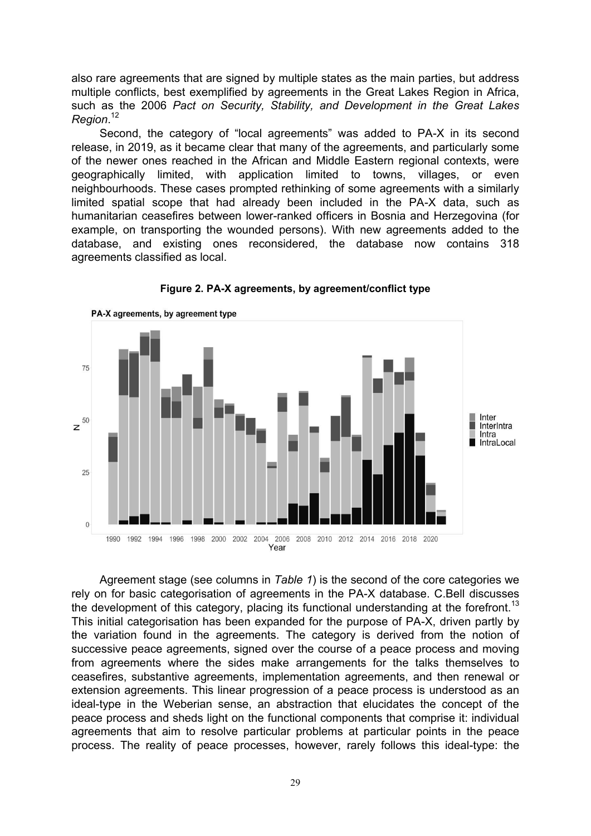also rare agreements that are signed by multiple states as the main parties, but address multiple conflicts, best exemplified by agreements in the Great Lakes Region in Africa, such as the 2006 *Pact on Security, Stability, and Development in the Great Lakes Region*. 12

Second, the category of "local agreements" was added to PA-X in its second release, in 2019, as it became clear that many of the agreements, and particularly some of the newer ones reached in the African and Middle Eastern regional contexts, were geographically limited, with application limited to towns, villages, or even neighbourhoods. These cases prompted rethinking of some agreements with a similarly limited spatial scope that had already been included in the PA-X data, such as humanitarian ceasefires between lower-ranked officers in Bosnia and Herzegovina (for example, on transporting the wounded persons). With new agreements added to the database, and existing ones reconsidered, the database now contains 318 agreements classified as local.



**Figure 2. PA-X agreements, by agreement/conflict type**

Agreement stage (see columns in *Table 1*) is the second of the core categories we rely on for basic categorisation of agreements in the PA-X database. С.Bell discusses the development of this category, placing its functional understanding at the forefront.<sup>13</sup> This initial categorisation has been expanded for the purpose of PA-X, driven partly by the variation found in the agreements. The category is derived from the notion of successive peace agreements, signed over the course of a peace process and moving from agreements where the sides make arrangements for the talks themselves to ceasefires, substantive agreements, implementation agreements, and then renewal or extension agreements. This linear progression of a peace process is understood as an ideal-type in the Weberian sense, an abstraction that elucidates the concept of the peace process and sheds light on the functional components that comprise it: individual agreements that aim to resolve particular problems at particular points in the peace process. The reality of peace processes, however, rarely follows this ideal-type: the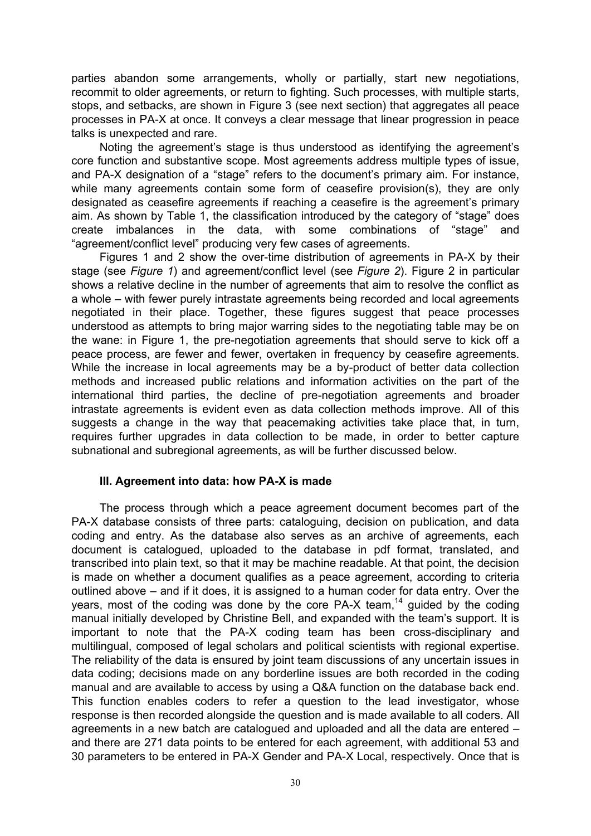parties abandon some arrangements, wholly or partially, start new negotiations, recommit to older agreements, or return to fighting. Such processes, with multiple starts, stops, and setbacks, are shown in Figure 3 (see next section) that aggregates all peace processes in PA-X at once. It conveys a clear message that linear progression in peace talks is unexpected and rare.

Noting the agreement's stage is thus understood as identifying the agreement's core function and substantive scope. Most agreements address multiple types of issue, and PA-X designation of a "stage" refers to the document's primary aim. For instance, while many agreements contain some form of ceasefire provision(s), they are only designated as ceasefire agreements if reaching a ceasefire is the agreement's primary aim. As shown by Table 1, the classification introduced by the category of "stage" does create imbalances in the data, with some combinations of "stage" and "agreement/conflict level" producing very few cases of agreements.

Figures 1 and 2 show the over-time distribution of agreements in PA-X by their stage (see *Figure 1*) and agreement/conflict level (see *Figure 2*). Figure 2 in particular shows a relative decline in the number of agreements that aim to resolve the conflict as a whole – with fewer purely intrastate agreements being recorded and local agreements negotiated in their place. Together, these figures suggest that peace processes understood as attempts to bring major warring sides to the negotiating table may be on the wane: in Figure 1, the pre-negotiation agreements that should serve to kick off a peace process, are fewer and fewer, overtaken in frequency by ceasefire agreements. While the increase in local agreements may be a by-product of better data collection methods and increased public relations and information activities on the part of the international third parties, the decline of pre-negotiation agreements and broader intrastate agreements is evident even as data collection methods improve. All of this suggests a change in the way that peacemaking activities take place that, in turn, requires further upgrades in data collection to be made, in order to better capture subnational and subregional agreements, as will be further discussed below.

### **III. Agreement into data: how PA-X is made**

The process through which a peace agreement document becomes part of the PA-X database consists of three parts: cataloguing, decision on publication, and data coding and entry. As the database also serves as an archive of agreements, each document is catalogued, uploaded to the database in pdf format, translated, and transcribed into plain text, so that it may be machine readable. At that point, the decision is made on whether a document qualifies as a peace agreement, according to criteria outlined above – and if it does, it is assigned to a human coder for data entry. Over the years, most of the coding was done by the core PA-X team,<sup>14</sup> guided by the coding manual initially developed by Christine Bell, and expanded with the team's support. It is important to note that the PA-X coding team has been cross-disciplinary and multilingual, composed of legal scholars and political scientists with regional expertise. The reliability of the data is ensured by joint team discussions of any uncertain issues in data coding; decisions made on any borderline issues are both recorded in the coding manual and are available to access by using a Q&A function on the database back end. This function enables coders to refer a question to the lead investigator, whose response is then recorded alongside the question and is made available to all coders. All agreements in a new batch are catalogued and uploaded and all the data are entered – and there are 271 data points to be entered for each agreement, with additional 53 and 30 parameters to be entered in PA-X Gender and PA-X Local, respectively. Once that is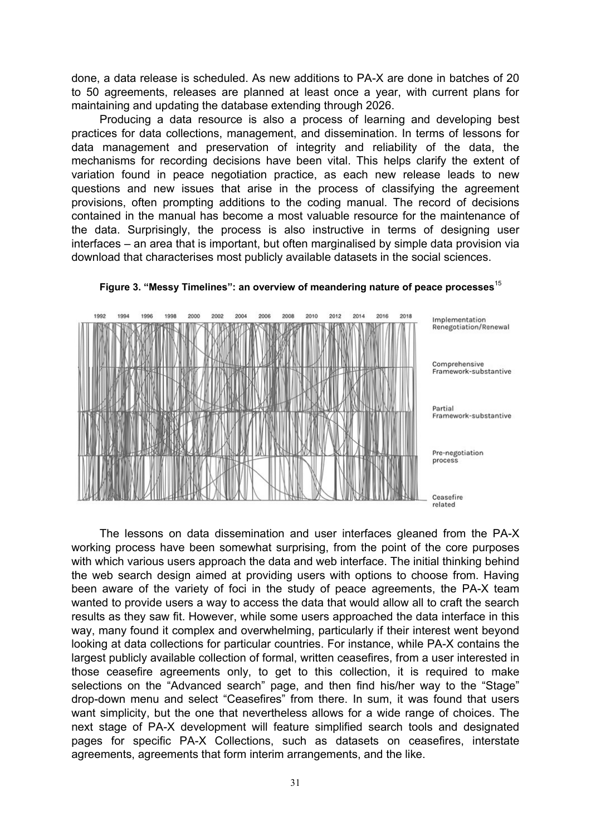done, a data release is scheduled. As new additions to PA-X are done in batches of 20 to 50 agreements, releases are planned at least once a year, with current plans for maintaining and updating the database extending through 2026.

Producing a data resource is also a process of learning and developing best practices for data collections, management, and dissemination. In terms of lessons for data management and preservation of integrity and reliability of the data, the mechanisms for recording decisions have been vital. This helps clarify the extent of variation found in peace negotiation practice, as each new release leads to new questions and new issues that arise in the process of classifying the agreement provisions, often prompting additions to the coding manual. The record of decisions contained in the manual has become a most valuable resource for the maintenance of the data. Surprisingly, the process is also instructive in terms of designing user interfaces – an area that is important, but often marginalised by simple data provision via download that characterises most publicly available datasets in the social sciences.



**Figure 3. "Messy Timelines": an overview of meandering nature of peace processes**<sup>15</sup>

The lessons on data dissemination and user interfaces gleaned from the PA-X working process have been somewhat surprising, from the point of the core purposes with which various users approach the data and web interface. The initial thinking behind the web search design aimed at providing users with options to choose from. Having been aware of the variety of foci in the study of peace agreements, the PA-X team wanted to provide users a way to access the data that would allow all to craft the search results as they saw fit. However, while some users approached the data interface in this way, many found it complex and overwhelming, particularly if their interest went beyond looking at data collections for particular countries. For instance, while PA-X contains the largest publicly available collection of formal, written ceasefires, from a user interested in those ceasefire agreements only, to get to this collection, it is required to make selections on the "Advanced search" page, and then find his/her way to the "Stage" drop-down menu and select "Ceasefires" from there. In sum, it was found that users want simplicity, but the one that nevertheless allows for a wide range of choices. The next stage of PA-X development will feature simplified search tools and designated pages for specific PA-X Collections, such as datasets on ceasefires, interstate agreements, agreements that form interim arrangements, and the like.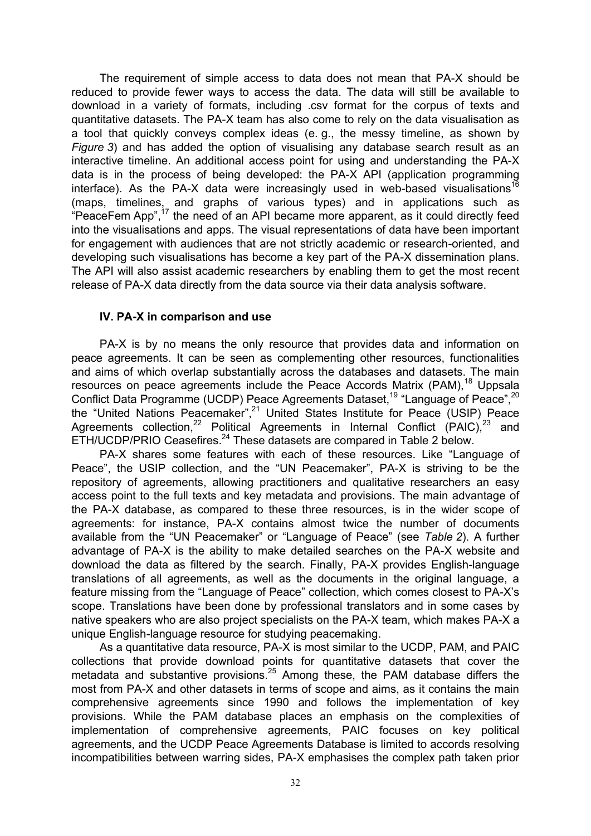The requirement of simple access to data does not mean that PA-X should be reduced to provide fewer ways to access the data. The data will still be available to download in a variety of formats, including .csv format for the corpus of texts and quantitative datasets. The PA-X team has also come to rely on the data visualisation as a tool that quickly conveys complex ideas (e. g., the messy timeline, as shown by *Figure 3*) and has added the option of visualising any database search result as an interactive timeline. An additional access point for using and understanding the PA-X data is in the process of being developed: the PA-X API (application programming interface). As the PA-X data were increasingly used in web-based visualisations<sup>16</sup> (maps, timelines, and graphs of various types) and in applications such as "PeaceFem App",<sup>17</sup> the need of an API became more apparent, as it could directly feed into the visualisations and apps. The visual representations of data have been important for engagement with audiences that are not strictly academic or research-oriented, and developing such visualisations has become a key part of the PA-X dissemination plans. The API will also assist academic researchers by enabling them to get the most recent release of PA-X data directly from the data source via their data analysis software.

### **IV. PA-X in comparison and use**

PA-X is by no means the only resource that provides data and information on peace agreements. It can be seen as complementing other resources, functionalities and aims of which overlap substantially across the databases and datasets. The main resources on peace agreements include the Peace Accords Matrix (PAM),<sup>18</sup> Uppsala Conflict Data Programme (UCDP) Peace Agreements Dataset,<sup>19</sup> "Language of Peace",<sup>20</sup> the "United Nations Peacemaker", <sup>21</sup> United States Institute for Peace (USIP) Peace Agreements collection,<sup>22</sup> Political Agreements in Internal Conflict (PAIC),<sup>23</sup> and ETH/UCDP/PRIO Ceasefires.<sup>24</sup> These datasets are compared in Table 2 below.

PA-X shares some features with each of these resources. Like "Language of Peace", the USIP collection, and the "UN Peacemaker", PA-X is striving to be the repository of agreements, allowing practitioners and qualitative researchers an easy access point to the full texts and key metadata and provisions. The main advantage of the PA-X database, as compared to these three resources, is in the wider scope of agreements: for instance, PA-X contains almost twice the number of documents available from the "UN Peacemaker" or "Language of Peace" (see *Table 2*). A further advantage of PA-X is the ability to make detailed searches on the PA-X website and download the data as filtered by the search. Finally, PA-X provides English-language translations of all agreements, as well as the documents in the original language, a feature missing from the "Language of Peace" collection, which comes closest to PA-X's scope. Translations have been done by professional translators and in some cases by native speakers who are also project specialists on the PA-X team, which makes PA-X a unique English-language resource for studying peacemaking.

As a quantitative data resource, PA-X is most similar to the UCDP, PAM, and PAIC collections that provide download points for quantitative datasets that cover the metadata and substantive provisions.<sup>25</sup> Among these, the PAM database differs the most from PA-X and other datasets in terms of scope and aims, as it contains the main comprehensive agreements since 1990 and follows the implementation of key provisions. While the PAM database places an emphasis on the complexities of implementation of comprehensive agreements, PAIC focuses on key political agreements, and the UCDP Peace Agreements Database is limited to accords resolving incompatibilities between warring sides, PA-X emphasises the complex path taken prior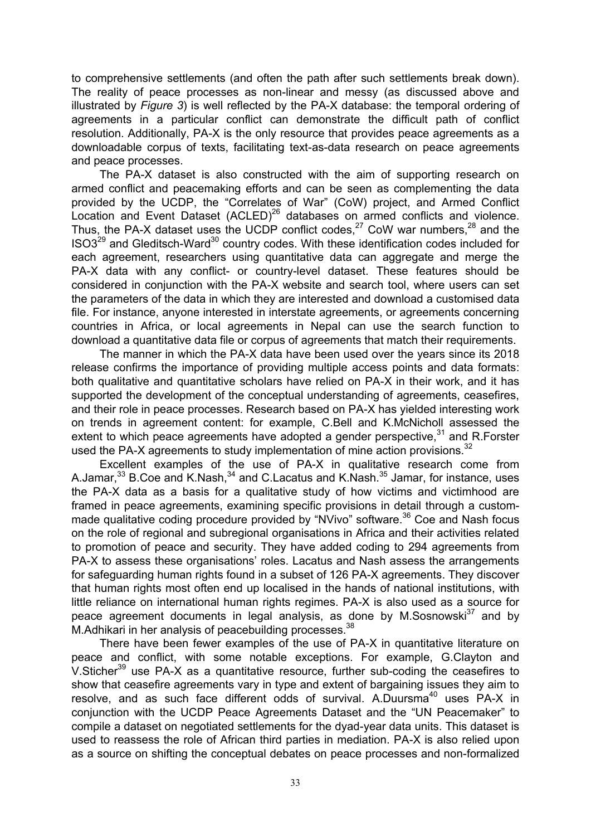to comprehensive settlements (and often the path after such settlements break down). The reality of peace processes as non-linear and messy (as discussed above and illustrated by *Figure 3*) is well reflected by the PA-X database: the temporal ordering of agreements in a particular conflict can demonstrate the difficult path of conflict resolution. Additionally, PA-X is the only resource that provides peace agreements as a downloadable corpus of texts, facilitating text-as-data research on peace agreements and peace processes.

The PA-X dataset is also constructed with the aim of supporting research on armed conflict and peacemaking efforts and can be seen as complementing the data provided by the UCDP, the "Correlates of War" (CoW) project, and Armed Conflict Location and Event Dataset  $(ACLED)^{26}$  databases on armed conflicts and violence. Thus, the PA-X dataset uses the UCDP conflict codes,  $27$  CoW war numbers,  $28$  and the ISO3<sup>29</sup> and Gleditsch-Ward<sup>30</sup> country codes. With these identification codes included for each agreement, researchers using quantitative data can aggregate and merge the PA-X data with any conflict- or country-level dataset. These features should be considered in conjunction with the PA-X website and search tool, where users can set the parameters of the data in which they are interested and download a customised data file. For instance, anyone interested in interstate agreements, or agreements concerning countries in Africa, or local agreements in Nepal can use the search function to download a quantitative data file or corpus of agreements that match their requirements.

The manner in which the PA-X data have been used over the years since its 2018 release confirms the importance of providing multiple access points and data formats: both qualitative and quantitative scholars have relied on PA-X in their work, and it has supported the development of the conceptual understanding of agreements, ceasefires, and their role in peace processes. Research based on PA-X has yielded interesting work on trends in agreement content: for example, C.Bell and K.McNicholl assessed the extent to which peace agreements have adopted a gender perspective,  $31$  and R.Forster used the PA-X agreements to study implementation of mine action provisions. $32$ 

Excellent examples of the use of PA-X in qualitative research come from A.Jamar,<sup>33</sup> B.Coe and K.Nash,<sup>34</sup> and C.Lacatus and K.Nash.<sup>35</sup> Jamar, for instance, uses the PA-X data as a basis for a qualitative study of how victims and victimhood are framed in peace agreements, examining specific provisions in detail through a custommade qualitative coding procedure provided by "NVivo" software.<sup>36</sup> Coe and Nash focus on the role of regional and subregional organisations in Africa and their activities related to promotion of peace and security. They have added coding to 294 agreements from PA-X to assess these organisations' roles. Lacatus and Nash assess the arrangements for safeguarding human rights found in a subset of 126 PA-X agreements. They discover that human rights most often end up localised in the hands of national institutions, with little reliance on international human rights regimes. PA-X is also used as a source for peace agreement documents in legal analysis, as done by M.Sosnowski<sup>37</sup> and by M.Adhikari in her analysis of peacebuilding processes.<sup>38</sup>

There have been fewer examples of the use of PA-X in quantitative literature on peace and conflict, with some notable exceptions. For example, G.Clayton and V.Sticher<sup>39</sup> use PA-X as a quantitative resource, further sub-coding the ceasefires to show that ceasefire agreements vary in type and extent of bargaining issues they aim to resolve, and as such face different odds of survival. A.Duursma<sup>40</sup> uses  $PA-X$  in conjunction with the UCDP Peace Agreements Dataset and the "UN Peacemaker" to compile a dataset on negotiated settlements for the dyad-year data units. This dataset is used to reassess the role of African third parties in mediation. PA-X is also relied upon as a source on shifting the conceptual debates on peace processes and non-formalized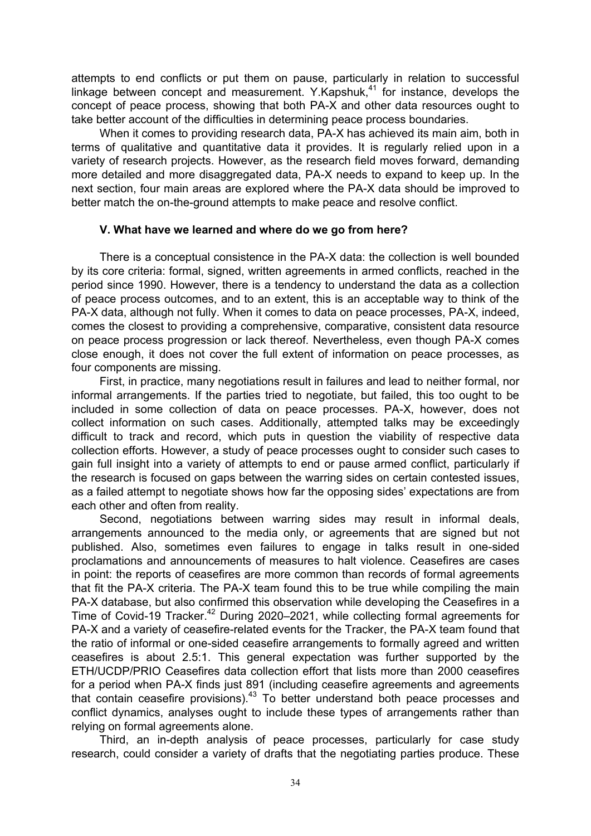attempts to end conflicts or put them on pause, particularly in relation to successful linkage between concept and measurement. Y.Kapshuk, $41$  for instance, develops the concept of peace process, showing that both PA-X and other data resources ought to take better account of the difficulties in determining peace process boundaries.

When it comes to providing research data, PA-X has achieved its main aim, both in terms of qualitative and quantitative data it provides. It is regularly relied upon in a variety of research projects. However, as the research field moves forward, demanding more detailed and more disaggregated data, PA-X needs to expand to keep up. In the next section, four main areas are explored where the PA-X data should be improved to better match the on-the-ground attempts to make peace and resolve conflict.

### **V. What have we learned and where do we go from here?**

There is a conceptual consistence in the PA-X data: the collection is well bounded by its core criteria: formal, signed, written agreements in armed conflicts, reached in the period since 1990. However, there is a tendency to understand the data as a collection of peace process outcomes, and to an extent, this is an acceptable way to think of the PA-X data, although not fully. When it comes to data on peace processes, PA-X, indeed, comes the closest to providing a comprehensive, comparative, consistent data resource on peace process progression or lack thereof. Nevertheless, even though PA-X comes close enough, it does not cover the full extent of information on peace processes, as four components are missing.

First, in practice, many negotiations result in failures and lead to neither formal, nor informal arrangements. If the parties tried to negotiate, but failed, this too ought to be included in some collection of data on peace processes. PA-X, however, does not collect information on such cases. Additionally, attempted talks may be exceedingly difficult to track and record, which puts in question the viability of respective data collection efforts. However, a study of peace processes ought to consider such cases to gain full insight into a variety of attempts to end or pause armed conflict, particularly if the research is focused on gaps between the warring sides on certain contested issues, as a failed attempt to negotiate shows how far the opposing sides' expectations are from each other and often from reality.

Second, negotiations between warring sides may result in informal deals, arrangements announced to the media only, or agreements that are signed but not published. Also, sometimes even failures to engage in talks result in one-sided proclamations and announcements of measures to halt violence. Ceasefires are cases in point: the reports of ceasefires are more common than records of formal agreements that fit the PA-X criteria. The PA-X team found this to be true while compiling the main PA-X database, but also confirmed this observation while developing the Ceasefires in a Time of Covid-19 Tracker.<sup>42</sup> During 2020–2021, while collecting formal agreements for PA-X and a variety of ceasefire-related events for the Tracker, the PA-X team found that the ratio of informal or one-sided ceasefire arrangements to formally agreed and written ceasefires is about 2.5:1. This general expectation was further supported by the ETH/UCDP/PRIO Ceasefires data collection effort that lists more than 2000 ceasefires for a period when PA-X finds just 891 (including ceasefire agreements and agreements that contain ceasefire provisions).<sup>43</sup> To better understand both peace processes and conflict dynamics, analyses ought to include these types of arrangements rather than relying on formal agreements alone.

Third, an in-depth analysis of peace processes, particularly for case study research, could consider a variety of drafts that the negotiating parties produce. These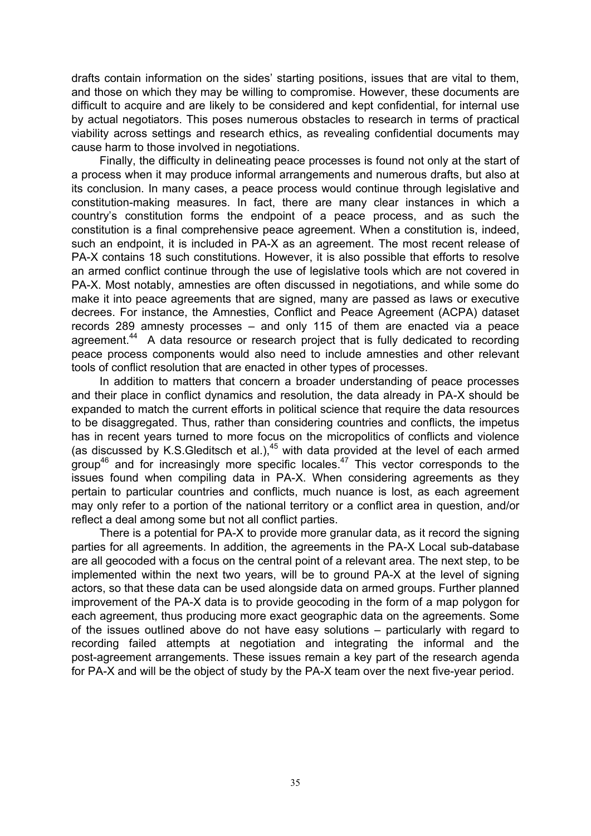drafts contain information on the sides' starting positions, issues that are vital to them, and those on which they may be willing to compromise. However, these documents are difficult to acquire and are likely to be considered and kept confidential, for internal use by actual negotiators. This poses numerous obstacles to research in terms of practical viability across settings and research ethics, as revealing confidential documents may cause harm to those involved in negotiations.

Finally, the difficulty in delineating peace processes is found not only at the start of a process when it may produce informal arrangements and numerous drafts, but also at its conclusion. In many cases, a peace process would continue through legislative and constitution-making measures. In fact, there are many clear instances in which a country's constitution forms the endpoint of a peace process, and as such the constitution is a final comprehensive peace agreement. When a constitution is, indeed, such an endpoint, it is included in PA-X as an agreement. The most recent release of PA-X contains 18 such constitutions. However, it is also possible that efforts to resolve an armed conflict continue through the use of legislative tools which are not covered in PA-X. Most notably, amnesties are often discussed in negotiations, and while some do make it into peace agreements that are signed, many are passed as laws or executive decrees. For instance, the Amnesties, Conflict and Peace Agreement (ACPA) dataset records 289 amnesty processes – and only 115 of them are enacted via a peace agreement.<sup>44</sup> A data resource or research project that is fully dedicated to recording peace process components would also need to include amnesties and other relevant tools of conflict resolution that are enacted in other types of processes.

In addition to matters that concern a broader understanding of peace processes and their place in conflict dynamics and resolution, the data already in PA-X should be expanded to match the current efforts in political science that require the data resources to be disaggregated. Thus, rather than considering countries and conflicts, the impetus has in recent years turned to more focus on the micropolitics of conflicts and violence (as discussed by K.S.Gleditsch et al.), $45$  with data provided at the level of each armed group<sup>46</sup> and for increasingly more specific locales.<sup>47</sup> This vector corresponds to the issues found when compiling data in PA-X. When considering agreements as they pertain to particular countries and conflicts, much nuance is lost, as each agreement may only refer to a portion of the national territory or a conflict area in question, and/or reflect a deal among some but not all conflict parties.

There is a potential for PA-X to provide more granular data, as it record the signing parties for all agreements. In addition, the agreements in the PA-X Local sub-database are all geocoded with a focus on the central point of a relevant area. The next step, to be implemented within the next two years, will be to ground PA-X at the level of signing actors, so that these data can be used alongside data on armed groups. Further planned improvement of the PA-X data is to provide geocoding in the form of a map polygon for each agreement, thus producing more exact geographic data on the agreements. Some of the issues outlined above do not have easy solutions – particularly with regard to recording failed attempts at negotiation and integrating the informal and the post-agreement arrangements. These issues remain a key part of the research agenda for PA-X and will be the object of study by the PA-X team over the next five-year period.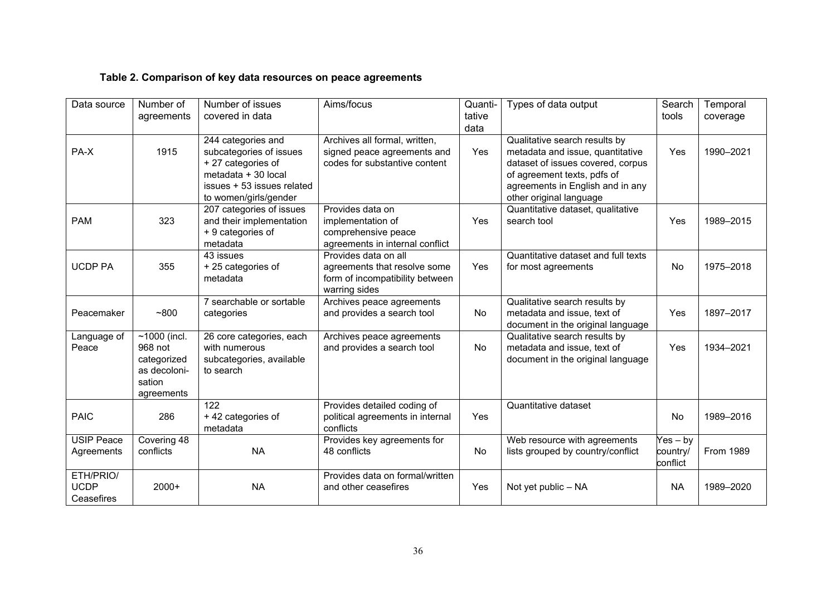# **Table 2. Comparison of key data resources on peace agreements**

| Data source                            | Number of<br>agreements                                                          | Number of issues<br>covered in data                                                                                                              | Aims/focus                                                                                               | Quanti-<br>tative<br>data | Types of data output                                                                                                                                                                                 | Search<br>tools                    | Temporal<br>coverage |
|----------------------------------------|----------------------------------------------------------------------------------|--------------------------------------------------------------------------------------------------------------------------------------------------|----------------------------------------------------------------------------------------------------------|---------------------------|------------------------------------------------------------------------------------------------------------------------------------------------------------------------------------------------------|------------------------------------|----------------------|
| PA-X                                   | 1915                                                                             | 244 categories and<br>subcategories of issues<br>+27 categories of<br>metadata + 30 local<br>issues + 53 issues related<br>to women/girls/gender | Archives all formal, written,<br>signed peace agreements and<br>codes for substantive content            | Yes                       | Qualitative search results by<br>metadata and issue, quantitative<br>dataset of issues covered, corpus<br>of agreement texts, pdfs of<br>agreements in English and in any<br>other original language | Yes                                | 1990-2021            |
| <b>PAM</b>                             | 323                                                                              | 207 categories of issues<br>and their implementation<br>+ 9 categories of<br>metadata                                                            | Provides data on<br>implementation of<br>comprehensive peace<br>agreements in internal conflict          | Yes                       | Quantitative dataset, qualitative<br>search tool                                                                                                                                                     | Yes                                | 1989-2015            |
| <b>UCDP PA</b>                         | 355                                                                              | 43 issues<br>+25 categories of<br>metadata                                                                                                       | Provides data on all<br>agreements that resolve some<br>form of incompatibility between<br>warring sides | Yes                       | Quantitative dataset and full texts<br>for most agreements                                                                                                                                           | No                                 | 1975-2018            |
| Peacemaker                             | ~100                                                                             | 7 searchable or sortable<br>categories                                                                                                           | Archives peace agreements<br>and provides a search tool                                                  | <b>No</b>                 | Qualitative search results by<br>metadata and issue, text of<br>document in the original language                                                                                                    | Yes                                | 1897-2017            |
| Language of<br>Peace                   | $~1000$ (incl.<br>968 not<br>categorized<br>as decoloni-<br>sation<br>agreements | 26 core categories, each<br>with numerous<br>subcategories, available<br>to search                                                               | Archives peace agreements<br>and provides a search tool                                                  | No                        | Qualitative search results by<br>metadata and issue, text of<br>document in the original language                                                                                                    | Yes                                | 1934-2021            |
| <b>PAIC</b>                            | 286                                                                              | 122<br>+42 categories of<br>metadata                                                                                                             | Provides detailed coding of<br>political agreements in internal<br>conflicts                             | Yes                       | Quantitative dataset                                                                                                                                                                                 | <b>No</b>                          | 1989-2016            |
| <b>USIP Peace</b><br>Agreements        | Covering 48<br>conflicts                                                         | <b>NA</b>                                                                                                                                        | Provides key agreements for<br>48 conflicts                                                              | No                        | Web resource with agreements<br>lists grouped by country/conflict                                                                                                                                    | $Yes - by$<br>country/<br>conflict | From 1989            |
| ETH/PRIO/<br><b>UCDP</b><br>Ceasefires | $2000+$                                                                          | <b>NA</b>                                                                                                                                        | Provides data on formal/written<br>and other ceasefires                                                  | Yes                       | Not yet public - NA                                                                                                                                                                                  | <b>NA</b>                          | 1989-2020            |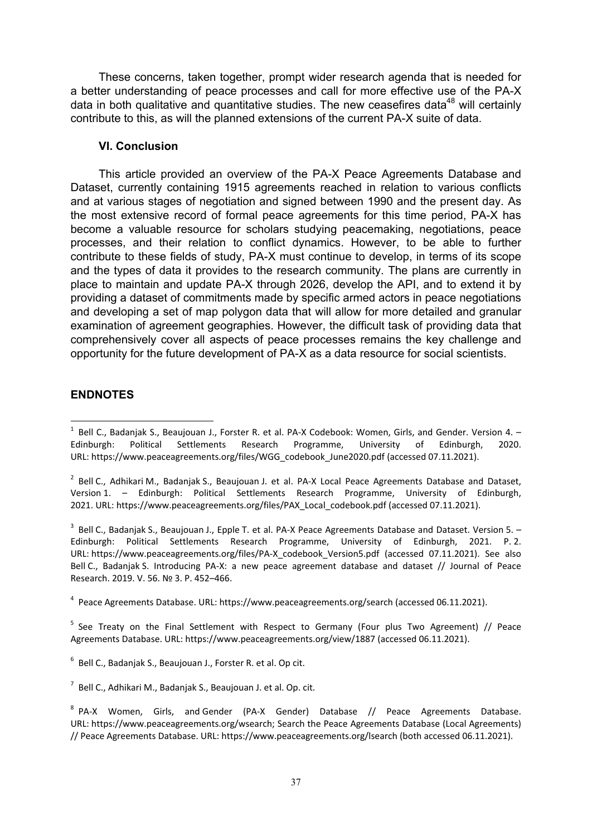These concerns, taken together, prompt wider research agenda that is needed for a better understanding of peace processes and call for more effective use of the PA-X data in both qualitative and quantitative studies. The new ceasefires data<sup>48</sup> will certainly contribute to this, as will the planned extensions of the current PA-X suite of data.

## **VI. Conclusion**

This article provided an overview of the PA-X Peace Agreements Database and Dataset, currently containing 1915 agreements reached in relation to various conflicts and at various stages of negotiation and signed between 1990 and the present day. As the most extensive record of formal peace agreements for this time period, PA-X has become a valuable resource for scholars studying peacemaking, negotiations, peace processes, and their relation to conflict dynamics. However, to be able to further contribute to these fields of study, PA-X must continue to develop, in terms of its scope and the types of data it provides to the research community. The plans are currently in place to maintain and update PA-X through 2026, develop the API, and to extend it by providing a dataset of commitments made by specific armed actors in peace negotiations and developing a set of map polygon data that will allow for more detailed and granular examination of agreement geographies. However, the difficult task of providing data that comprehensively cover all aspects of peace processes remains the key challenge and opportunity for the future development of PA-X as a data resource for social scientists.

# **ENDNOTES**

 $^3$  Bell C., Badanjak S., Beaujouan J., Epple T. et al. PA-X Peace Agreements Database and Dataset. Version 5.  $-$ Edinburgh: Political Settlements Research Programme, University of Edinburgh, 2021. P. 2. URL: https://www.peaceagreements.org/files/PA-X\_codebook\_Version5.pdf (accessed 07.11.2021). See also Bell C., Badanjak S. Introducing PA-X: a new peace agreement database and dataset // Journal of Peace Research. 2019. V. 56. № 3. P. 452–466.

4 Peace Agreements Database. URL: https://www.peaceagreements.org/search (accessed 06.11.2021).

<sup>5</sup> See Treaty on the Final Settlement with Respect to Germany (Four plus Two Agreement) // Peace Agreements Database. URL: https://www.peaceagreements.org/view/1887 (accessed 06.11.2021).

 $6$  Bell C., Badanjak S., Beaujouan J., Forster R. et al. Op cit.

<sup>&</sup>lt;u>.</u>  $^1$  Bell C., Badanjak S., Beaujouan J., Forster R. et al. PA-X Codebook: Women, Girls, and Gender. Version 4.  $-$ Edinburgh: Political Settlements Research Programme, University of Edinburgh, 2020. URL: https://www.peaceagreements.org/files/WGG\_codebook\_June2020.pdf (accessed 07.11.2021).

<sup>&</sup>lt;sup>2</sup> Bell C., Adhikari M., Badanjak S., Beaujouan J. et al. PA-X Local Peace Agreements Database and Dataset, Version 1. – Edinburgh: Political Settlements Research Programme, University of Edinburgh, 2021. URL: https://www.peaceagreements.org/files/PAX\_Local\_codebook.pdf (accessed 07.11.2021).

 $^7$  Bell C., Adhikari M., Badanjak S., Beaujouan J. et al. Op. cit.

<sup>&</sup>lt;sup>8</sup> PA-X Women, Girls, and Gender (PA-X Gender) Database // Peace Agreements Database. URL: https://www.peaceagreements.org/wsearch; Search the Peace Agreements Database (Local Agreements) // Peace Agreements Database. URL: https://www.peaceagreements.org/lsearch (both accessed 06.11.2021).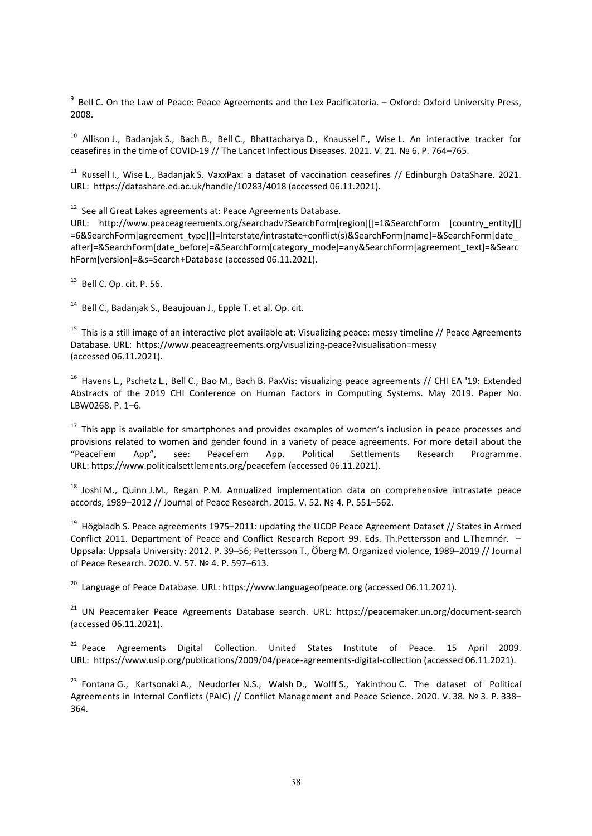<sup>9</sup> Bell C. On the Law of Peace: Peace Agreements and the Lex Pacificatoria. – Oxford: Oxford University Press, 2008.

 $10$  Allison J., Badanjak S., Bach B., Bell C., Bhattacharya D., Knaussel F., Wise L. An interactive tracker for ceasefires in the time of COVID-19 // The Lancet Infectious Diseases. 2021. V. 21. № 6. P. 764–765.

 $11$  Russell I., Wise L., Badanjak S. VaxxPax: a dataset of vaccination ceasefires // Edinburgh DataShare. 2021. URL: https://datashare.ed.ac.uk/handle/10283/4018 (accessed 06.11.2021).

<sup>12</sup> See all Great Lakes agreements at: Peace Agreements Database.

URL: http://www.peaceagreements.org/searchadv?SearchForm[region][]=1&SearchForm [country\_entity][] =6&SearchForm[agreement\_type][]=Interstate/intrastate+conflict(s)&SearchForm[name]=&SearchForm[date\_ after]=&SearchForm[date\_before]=&SearchForm[category\_mode]=any&SearchForm[agreement\_text]=&Searc hForm[version]=&s=Search+Database (accessed 06.11.2021).

<sup>13</sup> Bell C. Op. cit. P. 56.

<sup>14</sup> Bell C., Badanjak S., Beaujouan J., Epple T. et al. Op. cit.

<sup>15</sup> This is a still image of an interactive plot available at: Visualizing peace: messy timeline // Peace Agreements Database. URL: https://www.peaceagreements.org/visualizing-peace?visualisation=messy (accessed 06.11.2021).

<sup>16</sup> Havens L., Pschetz L., Bell C., Bao M., Bach B. PaxVis: visualizing peace agreements // CHI EA '19: Extended Abstracts of the 2019 CHI Conference on Human Factors in Computing Systems. May 2019. Paper No. LBW0268. P. 1–6.

<sup>17</sup> This app is available for smartphones and provides examples of women's inclusion in peace processes and provisions related to women and gender found in a variety of peace agreements. For more detail about the "PeaceFem App", see: PeaceFem App. Political Settlements Research Programme. URL: https://www.politicalsettlements.org/peacefem (accessed 06.11.2021).

<sup>18</sup> Joshi M., Quinn J.M., Regan P.M. Annualized implementation data on comprehensive intrastate peace accords, 1989–2012 // Journal of Peace Research. 2015. V. 52. № 4. P. 551–562.

<sup>19</sup> Högbladh S. Peace agreements 1975–2011: updating the UCDP Peace Agreement Dataset // States in Armed Conflict 2011. Department of Peace and Conflict Research Report 99. Eds. Th.Pettersson and L.Themnér. – Uppsala: Uppsala University: 2012. P. 39–56; Pettersson T., Öberg M. Organized violence, 1989–2019 // Journal of Peace Research. 2020. V. 57. № 4. P. 597–613.

<sup>20</sup> Language of Peace Database. URL: https://www.languageofpeace.org (accessed 06.11.2021).

<sup>21</sup> UN Peacemaker Peace Agreements Database search. URL: https://peacemaker.un.org/document-search (accessed 06.11.2021).

 $22$  Peace Agreements Digital Collection. United States Institute of Peace. 15 April 2009. URL: https://www.usip.org/publications/2009/04/peace-agreements-digital-collection (accessed 06.11.2021).

<sup>23</sup> Fontana G., Kartsonaki A., Neudorfer N.S., Walsh D., Wolff S., Yakinthou C. The dataset of Political Agreements in Internal Conflicts (PAIC) // Conflict Management and Peace Science. 2020. V. 38. № 3. P. 338– 364.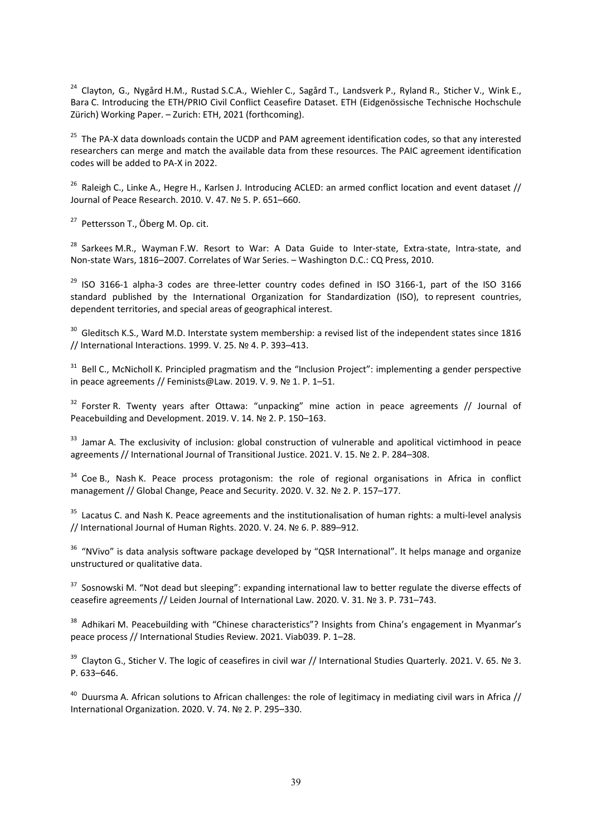<sup>24</sup> Clayton, G., Nygård H.M., Rustad S.C.A., Wiehler C., Sagård T., Landsverk P., Ryland R., Sticher V., Wink E., Bara C. Introducing the ETH/PRIO Civil Conflict Ceasefire Dataset. ETH ([Eidgenössische Technische Hochschule](http://www.ethz.ch/)  [Zürich](http://www.ethz.ch/)) Working Paper. – Zurich: ETH, 2021 (forthcoming).

<sup>25</sup> The PA-X data downloads contain the UCDP and PAM agreement identification codes, so that any interested researchers can merge and match the available data from these resources. The PAIC agreement identification codes will be added to PA-X in 2022.

<sup>26</sup> Raleigh C., Linke A., Hegre H., Karlsen J. Introducing ACLED: an armed conflict location and event dataset // Journal of Peace Research. 2010. V. 47. № 5. P. 651–660.

<sup>27</sup> Pettersson T., Öberg M. Op. cit.

<sup>28</sup> Sarkees M.R., Wayman F.W. Resort to War: A Data Guide to Inter-state, Extra-state, Intra-state, and Non-state Wars, 1816–2007. Correlates of War Series. – Washington D.C.: CQ Press, 2010.

 $^{29}$  ISO 3166-1 alpha-3 codes are three-letter country codes defined in ISO 3166-1, part of the ISO 3166 standard published by the International Organization for Standardization (ISO), to represent countries, dependent territories, and special areas of geographical interest.

 $30$  Gleditsch K.S., Ward M.D. Interstate system membership: a revised list of the independent states since 1816 // International Interactions. 1999. V. 25. № 4. P. 393–413.

<sup>31</sup> Bell C., McNicholl K. Principled pragmatism and the "Inclusion Project": implementing a gender perspective in peace agreements // Feminists@Law. 2019. V. 9. № 1. P. 1–51.

 $32$  Forster R. Twenty years after Ottawa: "unpacking" mine action in peace agreements // Journal of Peacebuilding and Development. 2019. V. 14. № 2. P. 150–163.

<sup>33</sup> Jamar A. The exclusivity of inclusion: global construction of vulnerable and apolitical victimhood in peace agreements // International Journal of Transitional Justice. 2021. V. 15. № 2. P. 284–308.

<sup>34</sup> Coe B., Nash K. Peace process protagonism: the role of regional organisations in Africa in conflict management // Global Change, Peace and Security. 2020. V. 32. № 2. P. 157–177.

<sup>35</sup> Lacatus C. and Nash K. Peace agreements and the institutionalisation of human rights: a multi-level analysis // International Journal of Human Rights. 2020. V. 24. № 6. P. 889–912.

<sup>36</sup> "NVivo" is data analysis software package developed by "QSR International". It helps manage and organize unstructured or qualitative data.

<sup>37</sup> Sosnowski M. "Not dead but sleeping": expanding international law to better regulate the diverse effects of ceasefire agreements // Leiden Journal of International Law. 2020. V. 31. № 3. P. 731–743.

<sup>38</sup> Adhikari M. Peacebuilding with "Chinese characteristics"? Insights from China's engagement in Myanmar's peace process // International Studies Review. 2021. Viab039. P. 1–28.

<sup>39</sup> Clayton G., Sticher V. The logic of ceasefires in civil war // International Studies Quarterly. 2021. V. 65. № 3. P. 633–646.

<sup>40</sup> Duursma A. African solutions to African challenges: the role of legitimacy in mediating civil wars in Africa // International Organization. 2020. V. 74. № 2. P. 295–330.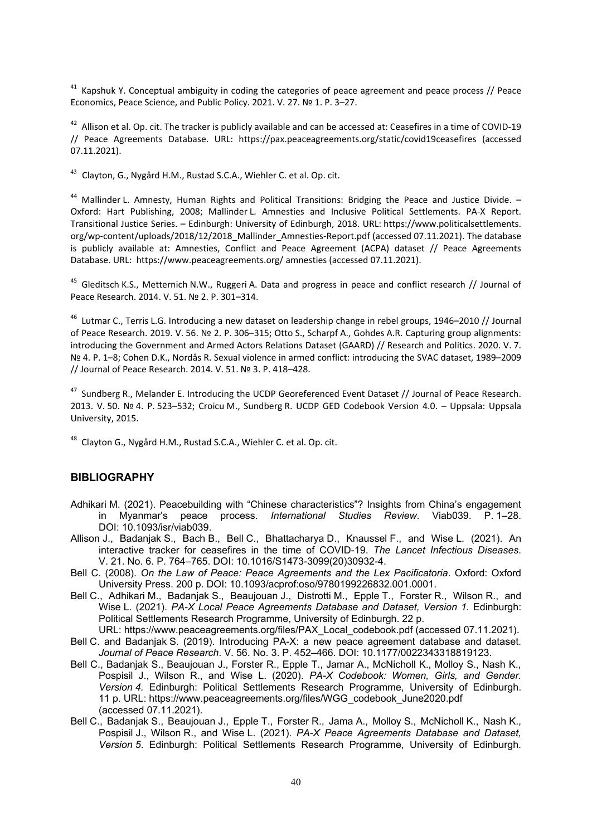$41$  Kapshuk Y. Conceptual ambiguity in coding the categories of peace agreement and peace process // Peace Economics, Peace Science, and Public Policy. 2021. V. 27. № 1. P. 3–27.

 $42$  Allison et al. Op. cit. The tracker is publicly available and can be accessed at: Ceasefires in a time of COVID-19 // Peace Agreements Database. URL: https://pax.peaceagreements.org/static/covid19ceasefires (accessed 07.11.2021).

 $^{43}$  Clayton, G., Nygård H.M., Rustad S.C.A., Wiehler C. et al. Op. cit.

<sup>44</sup> Mallinder L. Amnesty, Human Rights and Political Transitions: Bridging the Peace and Justice Divide. -Oxford: Hart Publishing, 2008; Mallinder L. Amnesties and Inclusive Political Settlements. PA-X Report. Transitional Justice Series. – Edinburgh: University of Edinburgh, 2018. URL: https://www.politicalsettlements. org/wp-content/uploads/2018/12/2018 Mallinder Amnesties-Report.pdf (accessed 07.11.2021). The database is publicly available at: Amnesties, Conflict and Peace Agreement (ACPA) dataset // Peace Agreements Database. URL: https://www.peaceagreements.org/ amnesties (accessed 07.11.2021).

<sup>45</sup> Gleditsch K.S., Metternich N.W., Ruggeri A. Data and progress in peace and conflict research // Journal of Peace Research. 2014. V. 51. № 2. P. 301–314.

<sup>46</sup> Lutmar C., Terris L.G. Introducing a new dataset on leadership change in rebel groups, 1946–2010 // Journal of Peace Research. 2019. V. 56. № 2. P. 306–315; Otto S., Scharpf A., Gohdes A.R. Capturing group alignments: introducing the Government and Armed Actors Relations Dataset (GAARD) // Research and Politics. 2020. V. 7. № 4. P. 1–8; Cohen D.K., Nordås R. Sexual violence in armed conflict: introducing the SVAC dataset, 1989–2009 // Journal of Peace Research. 2014. V. 51. № 3. P. 418–428.

<sup>47</sup> Sundberg R., Melander E. Introducing the UCDP Georeferenced Event Dataset // Journal of Peace Research. 2013. V. 50. № 4. P. 523–532; Croicu M., Sundberg R. UCDP GED Codebook Version 4.0. – Uppsala: Uppsala University, 2015.

<sup>48</sup> Clayton G., Nygård H.M., Rustad S.C.A., Wiehler C. et al. Op. cit.

#### **BIBLIOGRAPHY**

- Adhikari M. (2021). Peacebuilding with "Chinese characteristics"? Insights from China's engagement in Myanmar's peace process. *International Studies Review*. Viab039. P. 1–28. DOI: 10.1093/isr/viab039.
- Allison J., Badanjak S., Bach B., Bell C., Bhattacharya D., Knaussel F., and Wise L. (2021). An interactive tracker for ceasefires in the time of COVID-19. *The Lancet Infectious Diseases*. V. 21. No. 6. P. 764–765. DOI: 10.1016/S1473-3099(20)30932-4.
- Bell C. (2008). *On the Law of Peace: Peace Agreements and the Lex Pacificatoria*. Oxford: Oxford University Press. 200 p. DOI: 10.1093/acprof:oso/9780199226832.001.0001.
- Bell C., Adhikari M., Badanjak S., Beaujouan J., Distrotti M., Epple T., Forster R., Wilson R., and Wise L. (2021). *PA-X Local Peace Agreements Database and Dataset. Version 1.* Edinburgh: Political Settlements Research Programme, University of Edinburgh. 22 p.
- URL: https://www.peaceagreements.org/files/PAX\_Local\_codebook.pdf (accessed 07.11.2021). Bell C. and Badanjak S. (2019). Introducing PA-X: a new peace agreement database and dataset. *Journal of Peace Research*. V. 56. No. 3. P. 452–466. DOI: 10.1177/0022343318819123.
- Bell C., Badanjak S., Beaujouan J., Forster R., Epple T., Jamar A., McNicholl K., Molloy S., Nash K., Pospisil J., Wilson R., and Wise L. (2020). *PA-X Codebook: Women, Girls, and Gender. Version 4.* Edinburgh: Political Settlements Research Programme, University of Edinburgh. 11 p. URL: https://www.peaceagreements.org/files/WGG\_codebook\_June2020.pdf (accessed 07.11.2021).
- Bell C., Badanjak S., Beaujouan J., Epple T., Forster R., Jama A., Molloy S., McNicholl K., Nash K., Pospisil J., Wilson R., and Wise L. (2021). *PA-X Peace Agreements Database and Dataset, Version 5*. Edinburgh: Political Settlements Research Programme, University of Edinburgh.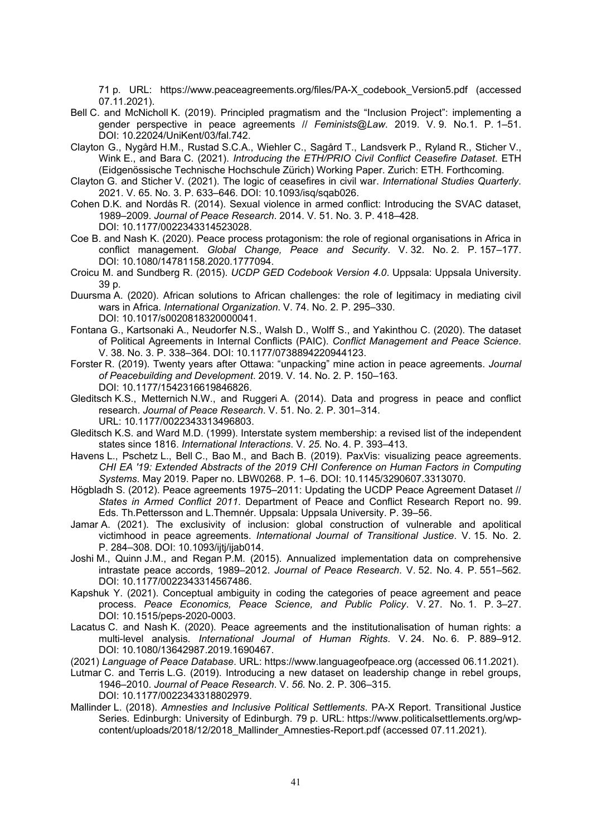71 p. URL: https://www.peaceagreements.org/files/PA-X\_codebook\_Version5.pdf (accessed 07.11.2021).

- Bell C. and McNicholl K. (2019). Principled pragmatism and the "Inclusion Project": implementing a gender perspective in peace agreements // *Feminists@Law*. 2019. V. 9. No.1. P. 1–51. DOI: 10.22024/UniKent/03/fal.742.
- Clayton G., Nygård H.M., Rustad S.C.A., Wiehler C., Sagård T., Landsverk P., Ryland R., Sticher V., Wink E., and Bara C. (2021). *Introducing the ETH/PRIO Civil Conflict Ceasefire Dataset*. ETH ([Eidgenössische Technische Hochschule Zürich](http://www.ethz.ch/)) Working Paper. Zurich: ETH. Forthcoming.
- Clayton G. and Sticher V. (2021). The logic of ceasefires in civil war. *International Studies Quarterly*. 2021. V. 65. No. 3. P. 633–646. DOI: 10.1093/isq/sqab026.
- Cohen D.K. and Nordås R. (2014). Sexual violence in armed conflict: Introducing the SVAC dataset, 1989–2009. *Journal of Peace Research*. 2014. V. 51. No. 3. P. 418–428. DOI: 10.1177/0022343314523028.
- Coe B. and Nash K. (2020). Peace process protagonism: the role of regional organisations in Africa in conflict management. *Global Change, Peace and Security*. V. 32. No. 2. P. 157–177. DOI: 10.1080/14781158.2020.1777094.
- Croicu M. and Sundberg R. (2015). *UCDP GED Codebook Version 4.0*. Uppsala: Uppsala University. 39 p.
- Duursma A. (2020). African solutions to African challenges: the role of legitimacy in mediating civil wars in Africa. *International Organization*. V. 74. No. 2. P. 295–330. DOI: 10.1017/s0020818320000041.
- Fontana G., Kartsonaki A., Neudorfer N.S., Walsh D., Wolff S., and Yakinthou C. (2020). The dataset of Political Agreements in Internal Conflicts (PAIC). *Conflict Management and Peace Science*. V. 38. No. 3. P. 338–364. DOI: 10.1177/0738894220944123.
- Forster R. (2019). Twenty years after Ottawa: "unpacking" mine action in peace agreements. *Journal of Peacebuilding and Development*. 2019. V. 14. No. 2. P. 150–163. DOI: 10.1177/1542316619846826.
- Gleditsch K.S., Metternich N.W., and Ruggeri A. (2014). Data and progress in peace and conflict research. *Journal of Peace Research*. V. 51*.* No. 2. P. 301–314. URL: 10.1177/0022343313496803.
- Gleditsch K.S. and Ward M.D. (1999). Interstate system membership: a revised list of the independent states since 1816. *International Interactions*. V. *25.* No. 4. P. 393–413.
- Havens L., Pschetz L., Bell C., Bao M., and Bach B. (2019). PaxVis: visualizing peace agreements. *CHI EA '19: Extended Abstracts of the 2019 CHI Conference on Human Factors in Computing Systems*. May 2019. Paper no. LBW0268. P. 1–6. DOI: 10.1145/3290607.3313070.
- Högbladh S. (2012). Peace agreements 1975–2011: Updating the UCDP Peace Agreement Dataset // *States in Armed Conflict 2011*. Department of Peace and Conflict Research Report no. 99. Eds. Th.Pettersson and L.Themnér. Uppsala: Uppsala University. P. 39–56.
- Jamar A. (2021). The exclusivity of inclusion: global construction of vulnerable and apolitical victimhood in peace agreements. *International Journal of Transitional Justice*. V. 15. No. 2. P. 284–308. DOI: 10.1093/ijtj/ijab014.
- Joshi M., Quinn J.M., and Regan P.M. (2015). Annualized implementation data on comprehensive intrastate peace accords, 1989–2012. *Journal of Peace Research*. V. 52. No. 4. P. 551–562. DOI: 10.1177/0022343314567486.
- Kapshuk Y. (2021). Conceptual ambiguity in coding the categories of peace agreement and peace process. *Peace Economics, Peace Science, and Public Policy*. V. 27. No. 1. P. 3–27. DOI: 10.1515/peps-2020-0003.
- Lacatus C. and Nash K. (2020). Peace agreements and the institutionalisation of human rights: a multi-level analysis. *International Journal of Human Rights*. V. 24. No. 6. P. 889–912. DOI: 10.1080/13642987.2019.1690467.

(2021) *Language of Peace Database*. URL: https://www.languageofpeace.org (accessed 06.11.2021).

Lutmar C. and Terris L.G. (2019). Introducing a new dataset on leadership change in rebel groups, 1946–2010. *Journal of Peace Research*. V. *56.* No. 2. P. 306–315. DOI: 10.1177/0022343318802979.

Mallinder L. (2018). *Amnesties and Inclusive Political Settlements*. PA-X Report. Transitional Justice Series. Edinburgh: University of Edinburgh. 79 p. URL: https://www.politicalsettlements.org/wpcontent/uploads/2018/12/2018\_Mallinder\_Amnesties-Report.pdf (accessed 07.11.2021).